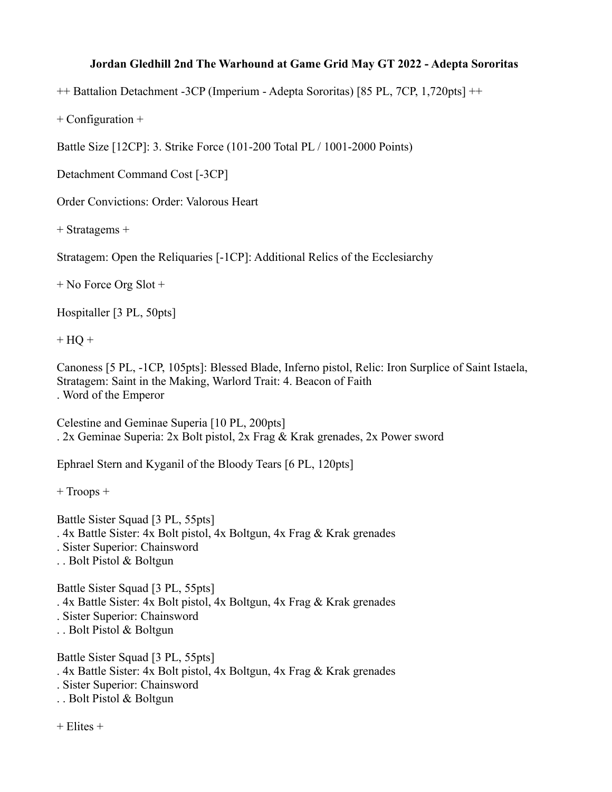## **Jordan Gledhill 2nd The Warhound at Game Grid May GT 2022 - Adepta Sororitas**

++ Battalion Detachment -3CP (Imperium - Adepta Sororitas) [85 PL, 7CP, 1,720pts] ++

+ Configuration +

Battle Size [12CP]: 3. Strike Force (101-200 Total PL / 1001-2000 Points)

Detachment Command Cost [-3CP]

Order Convictions: Order: Valorous Heart

+ Stratagems +

Stratagem: Open the Reliquaries [-1CP]: Additional Relics of the Ecclesiarchy

+ No Force Org Slot +

Hospitaller [3 PL, 50pts]

 $+$  HQ  $+$ 

Canoness [5 PL, -1CP, 105pts]: Blessed Blade, Inferno pistol, Relic: Iron Surplice of Saint Istaela, Stratagem: Saint in the Making, Warlord Trait: 4. Beacon of Faith . Word of the Emperor

Celestine and Geminae Superia [10 PL, 200pts] . 2x Geminae Superia: 2x Bolt pistol, 2x Frag & Krak grenades, 2x Power sword

Ephrael Stern and Kyganil of the Bloody Tears [6 PL, 120pts]

+ Troops +

Battle Sister Squad [3 PL, 55pts] . 4x Battle Sister: 4x Bolt pistol, 4x Boltgun, 4x Frag & Krak grenades . Sister Superior: Chainsword . . Bolt Pistol & Boltgun Battle Sister Squad [3 PL, 55pts]

. 4x Battle Sister: 4x Bolt pistol, 4x Boltgun, 4x Frag & Krak grenades . Sister Superior: Chainsword . . Bolt Pistol & Boltgun

Battle Sister Squad [3 PL, 55pts] . 4x Battle Sister: 4x Bolt pistol, 4x Boltgun, 4x Frag & Krak grenades . Sister Superior: Chainsword . . Bolt Pistol & Boltgun

+ Elites +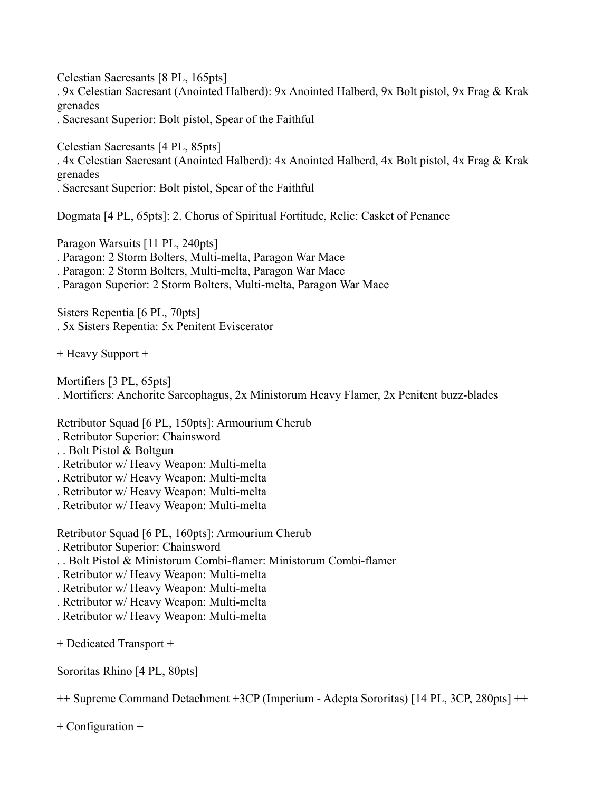Celestian Sacresants [8 PL, 165pts]

. 9x Celestian Sacresant (Anointed Halberd): 9x Anointed Halberd, 9x Bolt pistol, 9x Frag & Krak grenades

. Sacresant Superior: Bolt pistol, Spear of the Faithful

Celestian Sacresants [4 PL, 85pts]

. 4x Celestian Sacresant (Anointed Halberd): 4x Anointed Halberd, 4x Bolt pistol, 4x Frag & Krak grenades

. Sacresant Superior: Bolt pistol, Spear of the Faithful

Dogmata [4 PL, 65pts]: 2. Chorus of Spiritual Fortitude, Relic: Casket of Penance

Paragon Warsuits [11 PL, 240pts] . Paragon: 2 Storm Bolters, Multi-melta, Paragon War Mace . Paragon: 2 Storm Bolters, Multi-melta, Paragon War Mace

. Paragon Superior: 2 Storm Bolters, Multi-melta, Paragon War Mace

Sisters Repentia [6 PL, 70pts] . 5x Sisters Repentia: 5x Penitent Eviscerator

+ Heavy Support +

Mortifiers [3 PL, 65pts] . Mortifiers: Anchorite Sarcophagus, 2x Ministorum Heavy Flamer, 2x Penitent buzz-blades

Retributor Squad [6 PL, 150pts]: Armourium Cherub

- . Retributor Superior: Chainsword
- . . Bolt Pistol & Boltgun
- . Retributor w/ Heavy Weapon: Multi-melta
- . Retributor w/ Heavy Weapon: Multi-melta
- . Retributor w/ Heavy Weapon: Multi-melta
- . Retributor w/ Heavy Weapon: Multi-melta

Retributor Squad [6 PL, 160pts]: Armourium Cherub

- . Retributor Superior: Chainsword
- . . Bolt Pistol & Ministorum Combi-flamer: Ministorum Combi-flamer
- . Retributor w/ Heavy Weapon: Multi-melta
- . Retributor w/ Heavy Weapon: Multi-melta
- . Retributor w/ Heavy Weapon: Multi-melta
- . Retributor w/ Heavy Weapon: Multi-melta
- + Dedicated Transport +

Sororitas Rhino [4 PL, 80pts]

++ Supreme Command Detachment +3CP (Imperium - Adepta Sororitas) [14 PL, 3CP, 280pts] ++

+ Configuration +